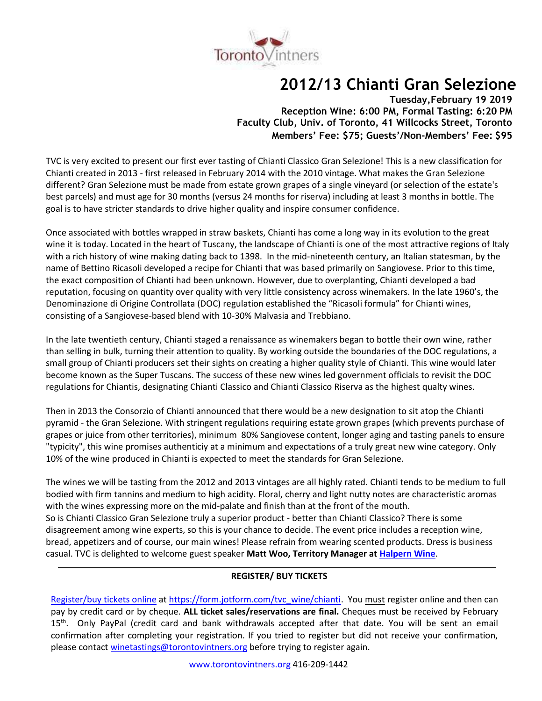

# **2012/13 Chianti Gran Selezione**

**Tuesday,February 19 2019 Reception Wine: 6:00 PM, Formal Tasting: 6:20 PM Faculty Club, Univ. of Toronto, 41 Willcocks Street, Toronto Members' Fee: \$75; Guests'/Non-Members' Fee: \$95**

TVC is very excited to present our first ever tasting of Chianti Classico Gran Selezione! This is a new classification for Chianti created in 2013 - first released in February 2014 with the 2010 vintage. What makes the Gran Selezione different? Gran Selezione must be made from estate grown grapes of a single vineyard (or selection of the estate's best parcels) and must age for 30 months (versus 24 months for riserva) including at least 3 months in bottle. The goal is to have stricter standards to drive higher quality and inspire consumer confidence.

Once associated with bottles wrapped in straw baskets, Chianti has come a long way in its evolution to the great wine it is today. Located in the heart of Tuscany, the landscape of Chianti is one of the most attractive regions of Italy with a rich history of wine making dating back to 1398. In the mid-nineteenth century, an Italian statesman, by the name of Bettino Ricasoli developed a recipe for Chianti that was based primarily on Sangiovese. Prior to this time, the exact composition of Chianti had been unknown. However, due to overplanting, Chianti developed a bad reputation, focusing on quantity over quality with very little consistency across winemakers. In the late 1960's, the Denominazione di Origine Controllata (DOC) regulation established the "Ricasoli formula" for Chianti wines, consisting of a Sangiovese-based blend with 10-30% Malvasia and Trebbiano.

In the late twentieth century, Chianti staged a renaissance as winemakers began to bottle their own wine, rather than selling in bulk, turning their attention to quality. By working outside the boundaries of the DOC regulations, a small group of Chianti producers set their sights on creating a higher quality style of Chianti. This wine would later become known as the Super Tuscans. The success of these new wines led government officials to revisit the DOC regulations for Chiantis, designating Chianti Classico and Chianti Classico Riserva as the highest qualty wines.

Then in 2013 the Consorzio of Chianti announced that there would be a new designation to sit atop the Chianti pyramid - the Gran Selezione. With stringent regulations requiring estate grown grapes (which prevents purchase of grapes or juice from other territories), minimum 80% Sangiovese content, longer aging and tasting panels to ensure "typicity", this wine promises authenticiy at a minimum and expectations of a truly great new wine category. Only 10% of the wine produced in Chianti is expected to meet the standards for Gran Selezione.

The wines we will be tasting from the 2012 and 2013 vintages are all highly rated. Chianti tends to be medium to full bodied with firm tannins and medium to high acidity. Floral, cherry and light nutty notes are characteristic aromas with the wines expressing more on the mid-palate and finish than at the front of the mouth. So is Chianti Classico Gran Selezione truly a superior product - better than Chianti Classico? There is some disagreement among wine experts, so this is your chance to decide. The event price includes a reception wine, bread, appetizers and of course, our main wines! Please refrain from wearing scented products. Dress is business casual. TVC is delighted to welcome guest speaker **Matt Woo, Territory Manager at [Halpern](https://halpernwine.com/) Wine**.

#### **REGISTER/ BUY TICKETS**

Register/buy [tickets online](https://form.jotform.com/tvc_wine/chianti) at [https://form.jotform.com/tvc\\_wine/chianti.](https://form.jotform.com/tvc_wine/chianti) You must register online and then can pay by credit card or by cheque. **ALL ticket sales/reservations are final.** Cheques must be received by February 15<sup>th</sup>. Only PayPal (credit card and bank withdrawals accepted after that date. You will be sent an email confirmation after completing your registration. If you tried to register but did not receive your confirmation, please contact [winetastings@torontovintners.org](mailto:winetastings@torontovintners.org) before trying to register again.